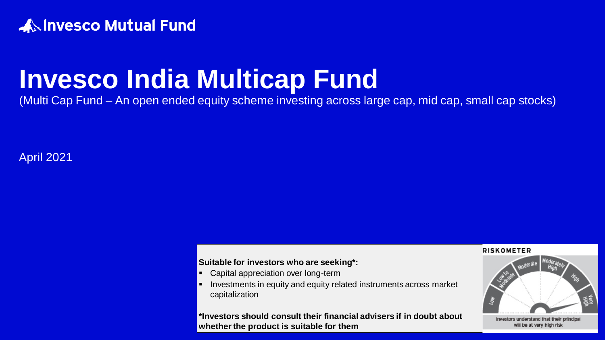

# **Invesco India Multicap Fund**

(Multi Cap Fund – An open ended equity scheme investing across large cap, mid cap, small cap stocks)

April 2021

#### **Suitable for investors who are seeking\*:**

- Capital appreciation over long-term
- **EXTERNITHET INVESTMENTS in equity and equity related instruments across market** capitalization

#### **\*Investors should consult their financial advisers if in doubt about whether the product is suitable for them**

#### **RISKOMETER**

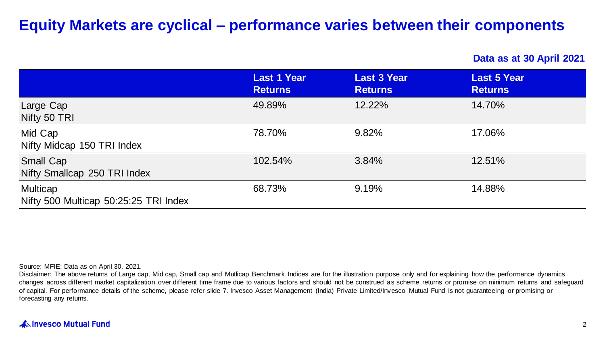# **Equity Markets are cyclical – performance varies between their components**

**Data as at 30 April 2021**

|                                                   | <b>Last 1 Year</b><br><b>Returns</b> | <b>Last 3 Year</b><br><b>Returns</b> | <b>Last 5 Year</b><br><b>Returns</b> |
|---------------------------------------------------|--------------------------------------|--------------------------------------|--------------------------------------|
| Large Cap<br>Nifty 50 TRI                         | 49.89%                               | 12.22%                               | 14.70%                               |
| Mid Cap<br>Nifty Midcap 150 TRI Index             | 78.70%                               | 9.82%                                | 17.06%                               |
| Small Cap<br>Nifty Smallcap 250 TRI Index         | 102.54%                              | 3.84%                                | 12.51%                               |
| Multicap<br>Nifty 500 Multicap 50:25:25 TRI Index | 68.73%                               | 9.19%                                | 14.88%                               |

Source: MFIE; Data as on April 30, 2021.

Disclaimer: The above returns of Large cap, Mid cap, Small cap and Mutlicap Benchmark Indices are for the illustration purpose only and for explaining how the performance dynamics changes across different market capitalization over different time frame due to various factors and should not be construed as scheme returns or promise on minimum returns and safeguard of capital. For performance details of the scheme, please refer slide 7. Invesco Asset Management (India) Private Limited/Invesco Mutual Fund is not guaranteeing or promising or forecasting any returns.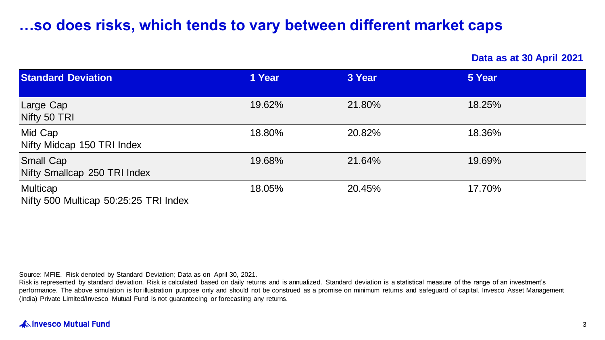# **…so does risks, which tends to vary between different market caps**

**Data as at 30 April 2021**

| <b>Standard Deviation</b>                         | 1 Year | 3 Year | 5 Year |
|---------------------------------------------------|--------|--------|--------|
| Large Cap<br>Nifty 50 TRI                         | 19.62% | 21.80% | 18.25% |
| Mid Cap<br>Nifty Midcap 150 TRI Index             | 18.80% | 20.82% | 18.36% |
| Small Cap<br>Nifty Smallcap 250 TRI Index         | 19.68% | 21.64% | 19.69% |
| Multicap<br>Nifty 500 Multicap 50:25:25 TRI Index | 18.05% | 20.45% | 17.70% |

Source: MFIE. Risk denoted by Standard Deviation; Data as on April 30, 2021.

Risk is represented by standard deviation. Risk is calculated based on daily returns and is annualized. Standard deviation is a statistical measure of the range of an investment's performance. The above simulation is for illustration purpose only and should not be construed as a promise on minimum returns and safeguard of capital. Invesco Asset Management (India) Private Limited/Invesco Mutual Fund is not guaranteeing or forecasting any returns.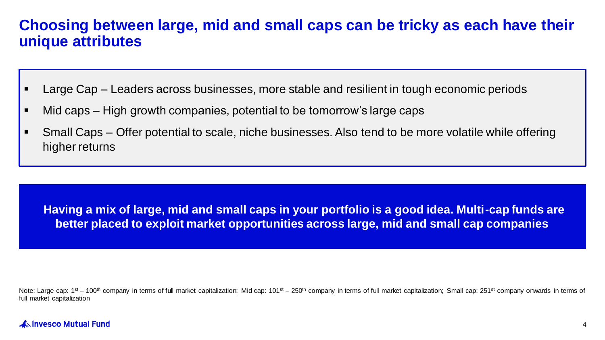### **Choosing between large, mid and small caps can be tricky as each have their unique attributes**

- Large Cap Leaders across businesses, more stable and resilient in tough economic periods
- Mid caps High growth companies, potential to be tomorrow's large caps
- Small Caps Offer potential to scale, niche businesses. Also tend to be more volatile while offering higher returns

**Having a mix of large, mid and small caps in your portfolio is a good idea. Multi-cap funds are better placed to exploit market opportunities across large, mid and small cap companies**

Note: Large cap:  $1<sup>st</sup> - 100<sup>th</sup>$  company in terms of full market capitalization; Mid cap:  $101<sup>st</sup> - 250<sup>th</sup>$  company in terms of full market capitalization; Mid cap:  $10<sup>st</sup> - 250<sup>th</sup>$  company in terms o full market capitalization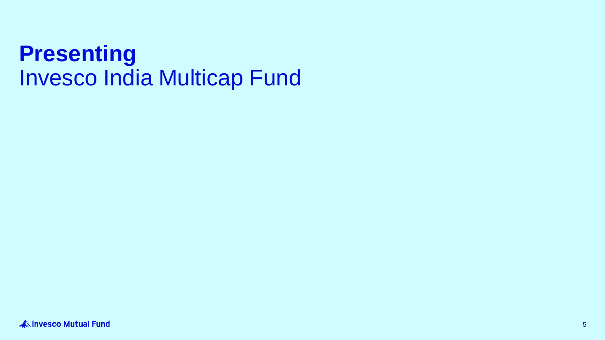# **Presenting**  Invesco India Multicap Fund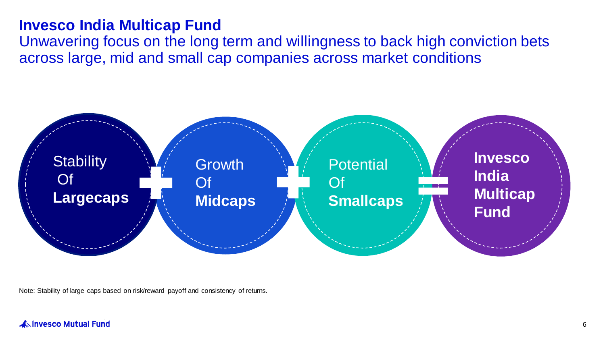### **Invesco India Multicap Fund**

Unwavering focus on the long term and willingness to back high conviction bets across large, mid and small cap companies across market conditions



Note: Stability of large caps based on risk/reward payoff and consistency of returns.

#### **ANINVESCO Mutual Fund**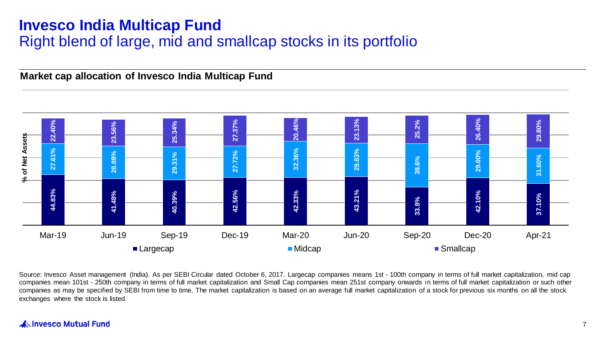# **Invesco India Multicap Fund** Right blend of large, mid and smallcap stocks in its portfolio

**Market cap allocation of Invesco India Multicap Fund**



Source: Invesco Asset management (India). As per SEBI Circular dated October 6, 2017. Largecap companies means 1st - 100th company in terms of full market capitalization, mid cap companies mean 101st - 250th company in terms of full market capitalization and Small Cap companies mean 251st company onwards in terms of full market capitalization or such other companies as may be specified by SEBI from time to time. The market capitalization is based on an average full market capitalization of a stock for previous six months on all the stock

### **ANINVESCO Mutual Fund**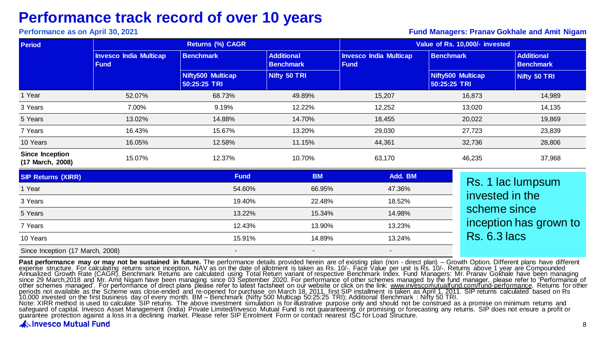# **Performance track record of over 10 years**

#### **Performance as on April 30, 2021 Fund Managers: Pranav Gokhale and Amit Nigam**

| <b>Period</b>                              |                                              | <b>Returns (%) CAGR</b>           |                                       | Value of Rs. 10,000/- invested               |                                   |                                       |  |
|--------------------------------------------|----------------------------------------------|-----------------------------------|---------------------------------------|----------------------------------------------|-----------------------------------|---------------------------------------|--|
|                                            | <b>Invesco India Multicap</b><br><b>Fund</b> | <b>Benchmark</b>                  | <b>Additional</b><br><b>Benchmark</b> | <b>Invesco India Multicap</b><br><b>Fund</b> | <b>Benchmark</b>                  | <b>Additional</b><br><b>Benchmark</b> |  |
|                                            |                                              | Nifty500 Multicap<br>50:25:25 TRI | Nifty 50 TRI                          |                                              | Nifty500 Multicap<br>50:25:25 TRI | Nifty 50 TRI                          |  |
| 1 Year                                     | 52.07%                                       | 68.73%                            | 49.89%                                | 15,207                                       | 16,873                            | 14,989                                |  |
| 3 Years                                    | 7.00%                                        | 9.19%                             | 12.22%                                | 12,252                                       | 13,020                            | 14,135                                |  |
| 5 Years                                    | 13.02%                                       | 14.88%                            | 14.70%                                | 18,455                                       | 20,022                            | 19,869                                |  |
| 7 Years                                    | 16.43%                                       | 15.67%                            | 13.20%                                | 29,030                                       | 27,723                            | 23,839                                |  |
| 10 Years                                   | 16.05%                                       | 12.58%                            | 11.15%                                | 44,361                                       | 32,736                            | 28,806                                |  |
| <b>Since Inception</b><br>(17 March, 2008) | 15.07%                                       | 12.37%                            | 10.70%                                | 63,170                                       | 46,235                            | 37,968                                |  |
| <b>SIP Returns (XIRR)</b>                  |                                              | <b>Fund</b>                       | <b>BM</b>                             | Add. BM                                      |                                   |                                       |  |
| 1 Year                                     |                                              | 54.60%                            | 66.95%                                | 47.36%                                       | Rs. 1 lac lumpsum                 |                                       |  |
| 3 Years                                    |                                              | 19.40%                            | 22.48%                                | 18.52%                                       | invested in the                   |                                       |  |
| 5 Years                                    |                                              | 13.22%                            | 15.34%                                | 14.98%                                       | scheme since                      |                                       |  |
| 7 Years                                    |                                              | 12.43%                            | 13.90%                                | 13.23%                                       |                                   | inception has grown to                |  |
| 10 Years                                   |                                              | 15.91%                            | 14.89%                                | 13.24%                                       | <b>Rs. 6.3 lacs</b>               |                                       |  |

Since Inception (17 March, 2008)

**Past performance may or may not be sustained in future.** The performance details provided herein are of existing plan (non - direct plan) – Growth Option. Different plans have different<br>expense structure. For calculating periods not available as the Scheme was close-ended and re-opened for purchase on March 18, 2011, first SIP installment is taken as April 1, 2011. SIP returns calculated based on Rs<br>10,000 invested on the first business da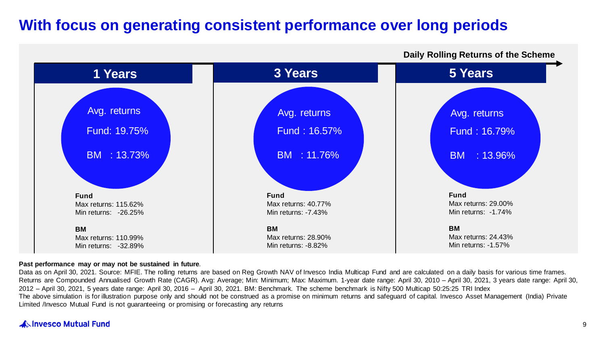# **With focus on generating consistent performance over long periods**



#### **Daily Rolling Returns of the Scheme**

#### **Past performance may or may not be sustained in future**.

Data as on April 30, 2021. Source: MFIE. The rolling returns are based on Reg Growth NAV of Invesco India Multicap Fund and are calculated on a daily basis for various time frames. Returns are Compounded Annualised Growth Rate (CAGR). Avg: Average; Min: Minimum; Max: Maximum. 1-year date range: April 30, 2010 - April 30, 2021, 3 years date range: April 30, 2012 – April 30, 2021, 5 years date range: April 30, 2016 – April 30, 2021. BM: Benchmark. The scheme benchmark is Nifty 500 Multicap 50:25:25 TRI Index The above simulation is for illustration purpose only and should not be construed as a promise on minimum returns and safeguard of capital. Invesco Asset Management (India) Private Limited /Invesco Mutual Fund is not guaranteeing or promising or forecasting any returns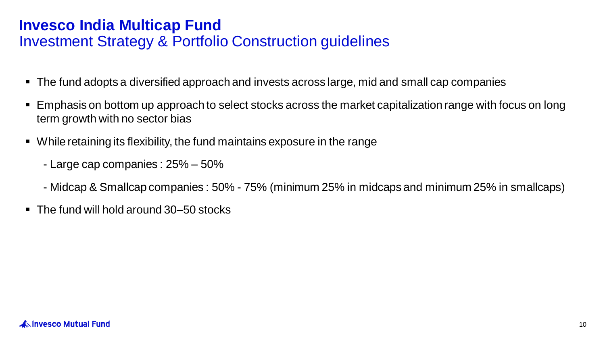# **Invesco India Multicap Fund**  Investment Strategy & Portfolio Construction guidelines

- The fund adopts a diversified approach and invests across large, mid and small cap companies
- Emphasis on bottom up approach to select stocks across the market capitalization range with focus on long term growth with no sector bias
- While retaining its flexibility, the fund maintains exposure in the range
	- Large cap companies : 25% 50%
	- Midcap & Smallcap companies : 50% 75% (minimum 25% in midcaps and minimum 25% in smallcaps)
- The fund will hold around 30–50 stocks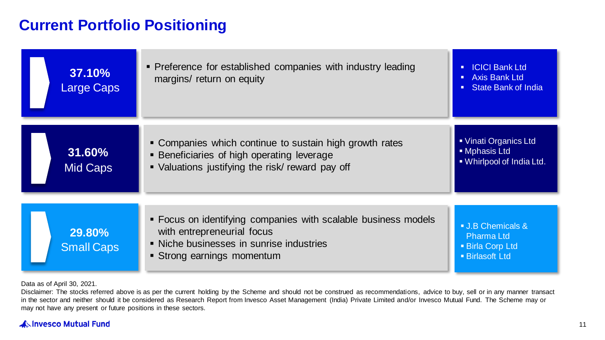# **Current Portfolio Positioning**

| 37.10%<br><b>Large Caps</b>        | • Preference for established companies with industry leading<br>margins/ return on equity                                                                            | <b>ICICI Bank Ltd</b><br>$\blacksquare$<br><b>Axis Bank Ltd</b><br>п.<br><b>State Bank of India</b><br>п. |
|------------------------------------|----------------------------------------------------------------------------------------------------------------------------------------------------------------------|-----------------------------------------------------------------------------------------------------------|
| 31.60%<br><b>Mid Caps</b>          | • Companies which continue to sustain high growth rates<br><b>Beneficiaries of high operating leverage</b><br>• Valuations justifying the risk/ reward pay off       | • Vinati Organics Ltd<br>• Mphasis Ltd<br>. Whirlpool of India Ltd.                                       |
| <b>29.80%</b><br><b>Small Caps</b> | • Focus on identifying companies with scalable business models<br>with entrepreneurial focus<br>• Niche businesses in sunrise industries<br>Strong earnings momentum | <b>J.B Chemicals &amp;</b><br>Pharma Ltd<br><b>Birla Corp Ltd</b><br><b>Birlasoft Ltd</b>                 |

Data as of April 30, 2021.

Disclaimer: The stocks referred above is as per the current holding by the Scheme and should not be construed as recommendations, advice to buy, sell or in any manner transact in the sector and neither should it be considered as Research Report from Invesco Asset Management (India) Private Limited and/or Invesco Mutual Fund. The Scheme may or may not have any present or future positions in these sectors.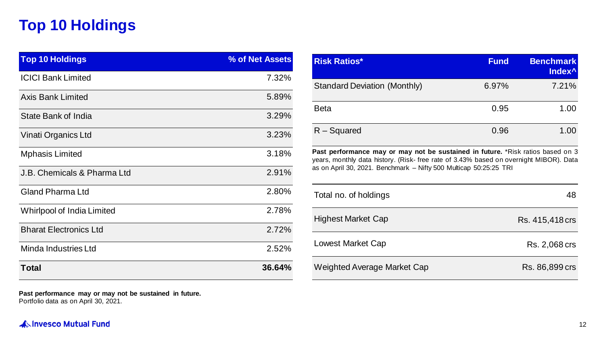# **Top 10 Holdings**

| <b>Top 10 Holdings</b>        | % of Net Assets |
|-------------------------------|-----------------|
| <b>ICICI Bank Limited</b>     | 7.32%           |
| Axis Bank Limited             | 5.89%           |
| State Bank of India           | 3.29%           |
| Vinati Organics Ltd           | 3.23%           |
| <b>Mphasis Limited</b>        | 3.18%           |
| J.B. Chemicals & Pharma Ltd   | 2.91%           |
| Gland Pharma Ltd              | 2.80%           |
| Whirlpool of India Limited    | 2.78%           |
| <b>Bharat Electronics Ltd</b> | 2.72%           |
| Minda Industries Ltd          | 2.52%           |
| <b>Total</b>                  | 36.64%          |

**Past performance may or may not be sustained in future.** Portfolio data as on April 30, 2021.

| <b>INISH NAUVS</b>                                                                                                                                                                                                                                   | <u>ı unu</u> | <b>Dellutiliai</b> n<br>Index <sup>^</sup> |
|------------------------------------------------------------------------------------------------------------------------------------------------------------------------------------------------------------------------------------------------------|--------------|--------------------------------------------|
| <b>Standard Deviation (Monthly)</b>                                                                                                                                                                                                                  | 6.97%        | 7.21%                                      |
| Beta                                                                                                                                                                                                                                                 | 0.95         | 1.00                                       |
| $R - Squared$                                                                                                                                                                                                                                        | 0.96         | 1.00                                       |
| <b>Past performance may or may not be sustained in future.</b> *Risk ratios based on 3<br>years, monthly data history. (Risk-free rate of 3.43% based on overnight MIBOR). Data<br>as on April 30, 2021. Benchmark - Nifty 500 Multicap 50:25:25 TRI |              |                                            |
| Total no. of holdings                                                                                                                                                                                                                                |              | 48                                         |
| <b>Highest Market Cap</b>                                                                                                                                                                                                                            |              | Rs. 415,418 crs                            |
| Lowest Market Cap                                                                                                                                                                                                                                    |              | Rs. 2,068 crs                              |
| Weighted Average Market Cap                                                                                                                                                                                                                          |              | Rs. 86,899 crs                             |

**Risk Ratios\* Fund Benchmark** 

**A Invesco Mutual Fund**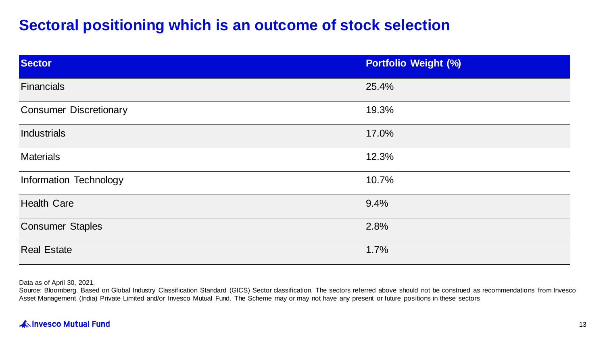# **Sectoral positioning which is an outcome of stock selection**

| <b>Sector</b>                 | <b>Portfolio Weight (%)</b> |
|-------------------------------|-----------------------------|
| <b>Financials</b>             | 25.4%                       |
| <b>Consumer Discretionary</b> | 19.3%                       |
| Industrials                   | 17.0%                       |
| <b>Materials</b>              | 12.3%                       |
| Information Technology        | 10.7%                       |
| <b>Health Care</b>            | 9.4%                        |
| <b>Consumer Staples</b>       | 2.8%                        |
| <b>Real Estate</b>            | 1.7%                        |

Data as of April 30, 2021.

Source: Bloomberg. Based on Global Industry Classification Standard (GICS) Sector classification. The sectors referred above should not be construed as recommendations from Invesco Asset Management (India) Private Limited and/or Invesco Mutual Fund. The Scheme may or may not have any present or future positions in these sectors

### A Invesco Mutual Fund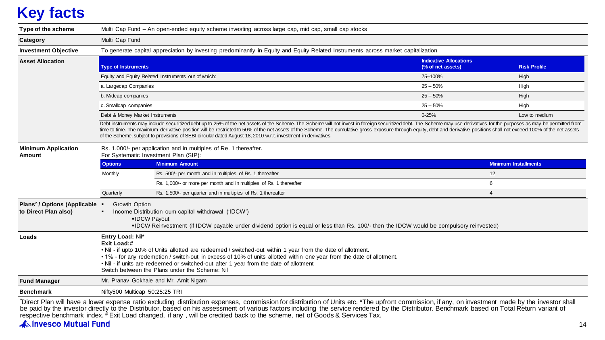# **Key facts**

| Type of the scheme                                                 |                                                                     | Multi Cap Fund - An open-ended equity scheme investing across large cap, mid cap, small cap stocks                                                                                                                                                                                                                                                                                                                                                                                                                                                                         |                                                    |                     |  |  |  |  |
|--------------------------------------------------------------------|---------------------------------------------------------------------|----------------------------------------------------------------------------------------------------------------------------------------------------------------------------------------------------------------------------------------------------------------------------------------------------------------------------------------------------------------------------------------------------------------------------------------------------------------------------------------------------------------------------------------------------------------------------|----------------------------------------------------|---------------------|--|--|--|--|
| Category                                                           | Multi Cap Fund                                                      |                                                                                                                                                                                                                                                                                                                                                                                                                                                                                                                                                                            |                                                    |                     |  |  |  |  |
| <b>Investment Objective</b>                                        |                                                                     | To generate capital appreciation by investing predominantly in Equity and Equity Related Instruments across market capitalization                                                                                                                                                                                                                                                                                                                                                                                                                                          |                                                    |                     |  |  |  |  |
| <b>Asset Allocation</b>                                            | <b>Type of Instruments</b>                                          |                                                                                                                                                                                                                                                                                                                                                                                                                                                                                                                                                                            | <b>Indicative Allocations</b><br>(% of net assets) | <b>Risk Profile</b> |  |  |  |  |
|                                                                    |                                                                     | Equity and Equity Related Instruments out of which:                                                                                                                                                                                                                                                                                                                                                                                                                                                                                                                        | 75-100%                                            | High                |  |  |  |  |
|                                                                    | a. Largecap Companies                                               |                                                                                                                                                                                                                                                                                                                                                                                                                                                                                                                                                                            | $25 - 50%$                                         | High                |  |  |  |  |
|                                                                    | b. Midcap companies                                                 |                                                                                                                                                                                                                                                                                                                                                                                                                                                                                                                                                                            | $25 - 50%$                                         | High                |  |  |  |  |
|                                                                    | c. Smallcap companies                                               |                                                                                                                                                                                                                                                                                                                                                                                                                                                                                                                                                                            | $25 - 50%$                                         | High                |  |  |  |  |
|                                                                    | Debt & Money Market Instruments                                     |                                                                                                                                                                                                                                                                                                                                                                                                                                                                                                                                                                            | $0 - 25%$                                          | Low to medium       |  |  |  |  |
|                                                                    |                                                                     | Debt instruments may include securitized debt up to 25% of the net assets of the Scheme. The Scheme will not invest in foreign securitized debt. The Scheme may use derivatives for the purposes as may be permitted from<br>time to time. The maximum derivative position will be restricted to 50% of the net assets of the Scheme. The cumulative gross exposure through equity, debt and derivative positions shall not exceed 100% of the net assets<br>of the Scheme, subject to provisions of SEBI circular dated August 18, 2010 w.r.t. investment in derivatives. |                                                    |                     |  |  |  |  |
| <b>Minimum Application</b><br>Amount                               |                                                                     | Rs. 1,000/- per application and in multiples of Re. 1 thereafter.<br>For Systematic Investment Plan (SIP):                                                                                                                                                                                                                                                                                                                                                                                                                                                                 |                                                    |                     |  |  |  |  |
|                                                                    | <b>Options</b>                                                      | <b>Minimum Amount</b>                                                                                                                                                                                                                                                                                                                                                                                                                                                                                                                                                      | <b>Minimum Installments</b>                        |                     |  |  |  |  |
|                                                                    | Rs. 500/- per month and in multiples of Rs. 1 thereafter<br>Monthly |                                                                                                                                                                                                                                                                                                                                                                                                                                                                                                                                                                            | 12                                                 |                     |  |  |  |  |
|                                                                    |                                                                     | Rs. 1,000/- or more per month and in multiples of Rs. 1 thereafter                                                                                                                                                                                                                                                                                                                                                                                                                                                                                                         | 6                                                  |                     |  |  |  |  |
|                                                                    | Quarterly                                                           | Rs. 1,500/- per quarter and in multiples of Rs. 1 thereafter                                                                                                                                                                                                                                                                                                                                                                                                                                                                                                               | $\overline{4}$                                     |                     |  |  |  |  |
| Plans <sup>^</sup> / Options (Applicable ·<br>to Direct Plan also) | Growth Option<br>$\blacksquare$                                     | Income Distribution cum capital withdrawal ('IDCW')<br>•IDCW Pavout<br>. DCW Reinvestment (if IDCW payable under dividend option is equal or less than Rs. 100/- then the IDCW would be compulsory reinvested)                                                                                                                                                                                                                                                                                                                                                             |                                                    |                     |  |  |  |  |
| Loads                                                              | Entry Load: Nil*<br>Exit Load:#                                     | . Nil - if upto 10% of Units allotted are redeemed / switched-out within 1 year from the date of allotment.<br>• 1% - for any redemption / switch-out in excess of 10% of units allotted within one year from the date of allotment.<br>. Nil - if units are redeemed or switched-out after 1 year from the date of allotment<br>Switch between the Plans under the Scheme: Nil                                                                                                                                                                                            |                                                    |                     |  |  |  |  |
| <b>Fund Manager</b>                                                |                                                                     | Mr. Pranav Gokhale and Mr. Amit Nigam                                                                                                                                                                                                                                                                                                                                                                                                                                                                                                                                      |                                                    |                     |  |  |  |  |
| <b>Benchmark</b>                                                   | Nifty500 Multicap 50:25:25 TRI                                      |                                                                                                                                                                                                                                                                                                                                                                                                                                                                                                                                                                            |                                                    |                     |  |  |  |  |
|                                                                    |                                                                     | Tricot Dlan will boye a lower expense ratio excluding distribution expenses, commission for distribution of Unite ate *The unfrant commission if any on investment made by the investor shall                                                                                                                                                                                                                                                                                                                                                                              |                                                    |                     |  |  |  |  |

"Direct Plan will have a lower expense ratio excluding distribution expenses, commission for distribution of Units etc. \*The upfront commission, if any, on investment made by the investor shall<br>be paid by the investor dire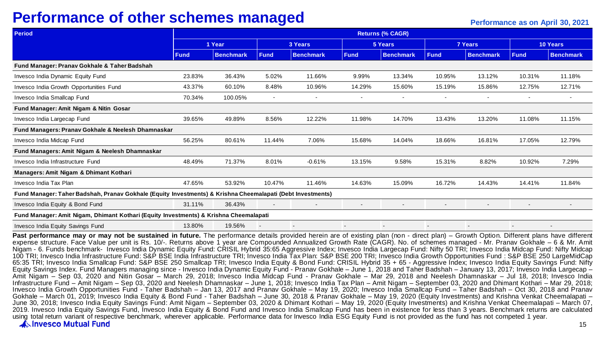# **Performance of other schemes managed Performance as on April 30, 2021**

| <b>Period</b>                                                                                              | <b>Returns (% CAGR)</b> |                  |             |                          |             |                  |             |                  |                          |                          |  |
|------------------------------------------------------------------------------------------------------------|-------------------------|------------------|-------------|--------------------------|-------------|------------------|-------------|------------------|--------------------------|--------------------------|--|
|                                                                                                            |                         | 1 Year           |             | 3 Years                  |             | 5 Years          |             | 7 Years          |                          | 10 Years                 |  |
|                                                                                                            | <b>Fund</b>             | <b>Benchmark</b> | <b>Fund</b> | <b>Benchmark</b>         | <b>Fund</b> | <b>Benchmark</b> | <b>Fund</b> | <b>Benchmark</b> | <b>Fund</b>              | <b>Benchmark</b>         |  |
| Fund Manager: Pranav Gokhale & Taher Badshah                                                               |                         |                  |             |                          |             |                  |             |                  |                          |                          |  |
| Invesco India Dynamic Equity Fund                                                                          | 23.83%                  | 36.43%           | 5.02%       | 11.66%                   | 9.99%       | 13.34%           | 10.95%      | 13.12%           | 10.31%                   | 11.18%                   |  |
| Invesco India Growth Opportunities Fund                                                                    | 43.37%                  | 60.10%           | 8.48%       | 10.96%                   | 14.29%      | 15.60%           | 15.19%      | 15.86%           | 12.75%                   | 12.71%                   |  |
| Invesco India Smallcap Fund                                                                                | 70.34%                  | 100.05%          |             |                          |             | ٠                | ۰           | $\overline{a}$   | ٠                        | $\overline{\phantom{a}}$ |  |
| Fund Manager: Amit Nigam & Nitin Gosar                                                                     |                         |                  |             |                          |             |                  |             |                  |                          |                          |  |
| Invesco India Largecap Fund                                                                                | 39.65%                  | 49.89%           | 8.56%       | 12.22%                   | 11.98%      | 14.70%           | 13.43%      | 13.20%           | 11.08%                   | 11.15%                   |  |
| Fund Managers: Pranav Gokhale & Neelesh Dhamnaskar                                                         |                         |                  |             |                          |             |                  |             |                  |                          |                          |  |
| Invesco India Midcap Fund                                                                                  | 56.25%                  | 80.61%           | 11.44%      | 7.06%                    | 15.68%      | 14.04%           | 18.66%      | 16.81%           | 17.05%                   | 12.79%                   |  |
| Fund Managers: Amit Nigam & Neelesh Dhamnaskar                                                             |                         |                  |             |                          |             |                  |             |                  |                          |                          |  |
| Invesco India Infrastructure Fund                                                                          | 48.49%                  | 71.37%           | 8.01%       | $-0.61%$                 | 13.15%      | 9.58%            | 15.31%      | 8.82%            | 10.92%                   | 7.29%                    |  |
| Managers: Amit Nigam & Dhimant Kothari                                                                     |                         |                  |             |                          |             |                  |             |                  |                          |                          |  |
| Invesco India Tax Plan                                                                                     | 47.65%                  | 53.92%           | 10.47%      | 11.46%                   | 14.63%      | 15.09%           | 16.72%      | 14.43%           | 14.41%                   | 11.84%                   |  |
| Fund Manager: Taher Badshah, Pranav Gokhale (Equity Investments) & Krishna Cheemalapati (Debt Investments) |                         |                  |             |                          |             |                  |             |                  |                          |                          |  |
| Invesco India Equity & Bond Fund                                                                           | 31.11%                  | 36.43%           |             | $\overline{\phantom{a}}$ |             | ۰                |             |                  | $\overline{\phantom{a}}$ |                          |  |
| Fund Manager: Amit Nigam, Dhimant Kothari (Equity Investments) & Krishna Cheemalapati                      |                         |                  |             |                          |             |                  |             |                  |                          |                          |  |
| Invesco India Equity Savings Fund                                                                          | 13.80%                  | 19.56%           |             |                          |             |                  |             |                  | $\overline{\phantom{a}}$ |                          |  |

Past performance may or may not be sustained in future. The performance details provided herein are of existing plan (non - direct plan) – Growth Option. Different plans have different expense structure. Face Value per unit is Rs. 10/-. Returns above 1 year are Compounded Annualized Growth Rate (CAGR). No. of schemes managed - Mr. Pranav Gokhale – 6 & Mr. Amit Nigam - 6. Funds benchmark- Invesco India Dynamic Equity Fund: CRISIL Hybrid 35:65 Aggressive Index: Invesco India Largecap Fund: Nifty 50 TRI; Invesco India Midcap Fund: Nifty Midcap 100 TRI; Invesco India Infrastructure Fund: S&P BSE India Infrastructure TRI; Invesco India Tax Plan: S&P BSE 200 TRI; Invesco India Growth Opportunities Fund : S&P BSE 250 LargeMidCap 65:35 TRI; Invesco India Smallcap Fund: S&P BSE 250 Smallcap TRI; Invesco India Equity & Bond Fund: CRISIL Hybrid 35 + 65 - Aggressive Index; Invesco India Equity Savings Fund: Nifty Equity Savings Index. Fund Managers managing since - Invesco India Dynamic Equity Fund - Pranav Gokhale – June 1, 2018 and Taher Badshah – January 13, 2017; Invesco India Largecap – Amit Nigam – Sep 03, 2020 and Nitin Gosar – March 29, 2018; Invesco India Midcap Fund - Pranav Gokhale – Mar 29, 2018 and Neelesh Dhamnaskar – Jul 18, 2018; Invesco India Infrastructure Fund – Amit Nigam – Sep 03, 2020 and Neelesh Dhamnaskar – June 1, 2018; Invesco India Tax Plan – Amit Nigam – September 03, 2020 and Dhimant Kothari – Mar 29, 2018; Invesco India Growth Opportunities Fund - Taher Badshah – Jan 13, 2017 and Pranav Gokhale – May 19, 2020; Invesco India Smallcap Fund – Taher Badshah – Oct 30, 2018 and Pranav Gokhale – March 01, 2019; Invesco India Equity & Bond Fund - Taher Badshah – June 30, 2018 & Pranav Gokhale – May 19, 2020 (Equity Investments) and Krishna Venkat Cheemalapati – June 30, 2018; Invesco India Equity Savings Fund: Amit Nigam – September 03, 2020 & Dhimant Kothari – May 19, 2020 (Equity Investments) and Krishna Venkat Cheemalapati – March 07, 2019. Invesco India Equity Savings Fund, Invesco India Equity & Bond Fund and Invesco India Smallcap Fund has been in existence for less than 3 years. Benchmark returns are calculated using total return variant of respective benchmark, wherever applicable. Performance data for Invesco India ESG Equity Fund is not provided as the fund has not competed 1 year.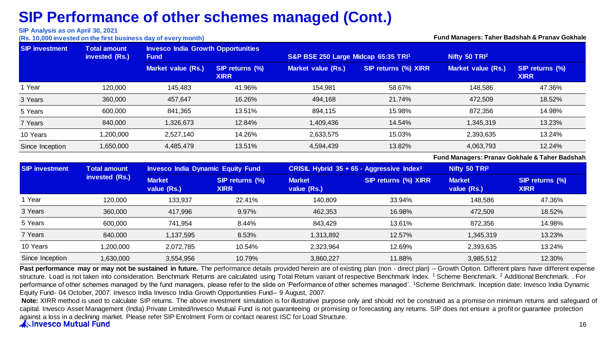#### **SIP Analysis as on April 30, 2021**

**(Rs. 10,000 invested on the first business day of every month) Fund Managers: Taher Badshah & Pranav Gokhale**

| <b>SIP investment</b><br><b>Total amount</b><br>invested (Rs.) |           | <b>Invesco India Growth Opportunities</b><br><b>Fund</b> |                                | S&P BSE 250 Large Midcap 65:35 TRI1 |                      | Nifty 50 TRI <sup>2</sup>                     |                                |
|----------------------------------------------------------------|-----------|----------------------------------------------------------|--------------------------------|-------------------------------------|----------------------|-----------------------------------------------|--------------------------------|
|                                                                |           | Market value (Rs.)                                       | SIP returns (%)<br><b>XIRR</b> | Market value (Rs.)                  | SIP returns (%) XIRR | <b>Market value (Rs.)</b>                     | SIP returns (%)<br><b>XIRR</b> |
| 1 Year                                                         | 120.000   | 145,483                                                  | 41.96%                         | 154,981                             | 58.67%               | 148,586                                       | 47.36%                         |
| 3 Years                                                        | 360,000   | 457,647                                                  | 16.26%                         | 494,168                             | 21.74%               | 472,509                                       | 18.52%                         |
| 5 Years                                                        | 600,000   | 841,365                                                  | 13.51%                         | 894,115                             | 15.98%               | 872,356                                       | 14.98%                         |
| 7 Years                                                        | 840,000   | 1,326,673                                                | 12.84%                         | 1,409,436                           | 14.54%               | 1,345,319                                     | 13.23%                         |
| 10 Years                                                       | 1,200,000 | 2.527.140                                                | 14.26%                         | 2,633,575                           | 15.03%               | 2,393,635                                     | 13.24%                         |
| Since Inception                                                | 1,650,000 | 4,485,479                                                | 13.51%                         | 4,594,439                           | 13.82%               | 4,063,793                                     | 12.24%                         |
|                                                                |           |                                                          |                                |                                     |                      | Fund Managers: Pranav Gokhale & Taher Badshah |                                |

| <b>SIP investment</b> | <b>Total amount</b> | <b>Invesco India Dynamic Equity Fund</b> |                                |                              | <b>CRISIL Hybrid 35 + 65 - Aggressive Index<sup>1</sup></b> | Nifty 50 TRI <sup>2</sup>    |                                |
|-----------------------|---------------------|------------------------------------------|--------------------------------|------------------------------|-------------------------------------------------------------|------------------------------|--------------------------------|
|                       | invested (Rs.)      | <b>Market</b><br>value (Rs.)             | SIP returns (%)<br><b>XIRR</b> | <b>Market</b><br>value (Rs.) | SIP returns (%) XIRR                                        | <b>Market</b><br>value (Rs.) | SIP returns (%)<br><b>XIRR</b> |
| Year                  | 120,000             | 133,937                                  | 22.41%                         | 140.809                      | 33.94%                                                      | 148.586                      | 47.36%                         |
| 3 Years               | 360,000             | 417,996                                  | 9.97%                          | 462,353                      | 16.98%                                                      | 472.509                      | 18.52%                         |
| 5 Years               | 600,000             | 741.954                                  | 8.44%                          | 843.429                      | 13.61%                                                      | 872.356                      | 14.98%                         |
| 7 Years               | 840.000             | .137.595                                 | 8.53%                          | 1,313,892                    | 12.57%                                                      | 1,345,319                    | 13.23%                         |
| 10 Years              | 1,200,000           | 2,072,785                                | 10.54%                         | 2,323,964                    | 12.69%                                                      | 2,393,635                    | 13.24%                         |
| Since Inception       | 1,630,000           | 3.554.956                                | 10.79%                         | 3.860.227                    | 11.88%                                                      | 3,985,512                    | 12.30%                         |

Past performance may or may not be sustained in future. The performance details provided herein are of existing plan (non - direct plan) – Growth Option. Different plans have different expense structure. Load is not taken into consideration. Benchmark Returns are calculated using Total Return variant of respective Benchmark Index. <sup>1</sup> Scheme Benchmark. <sup>2</sup> Additional Benchmark. . For performance of other schemes managed by the fund managers, please refer to the slide on 'Performance of other schemes managed'. <sup>1</sup>Scheme Benchmark. Inception date: Invesco India Dynamic Equity Fund- 04 October, 2007. Invesco India Invesco India Growth Opportunities Fund– 9 August, 2007.

Note: XIRR method is used to calculate SIP returns. The above investment simulation is for illustrative purpose only and should not be construed as a promise on minimum returns and safeguard of capital. Invesco Asset Management (India) Private Limited/Invesco Mutual Fund is not quaranteeing or promising or forecasting any returns. SIP does not ensure a profit or quarantee protection against a loss in a declining market. Please refer SIP Enrolment Form or contact nearest ISC for Load Structure.<br>A Invesco Mutual Fund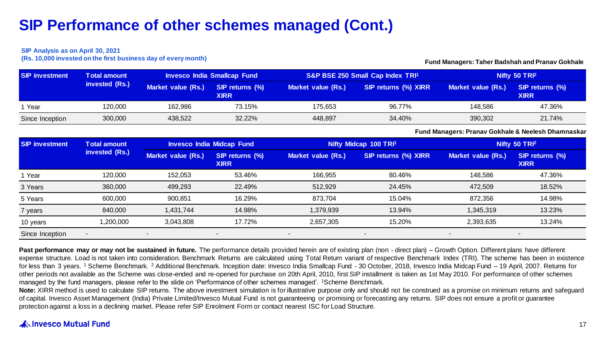#### **SIP Analysis as on April 30, 2021**

**(Rs. 10,000 invested on the first business day of every month)**

#### **Fund Managers: Taher Badshah and Pranav Gokhale**

| <b>SIP investment</b> | <b>Total amount</b> | <b>Invesco India Smallcap Fund</b> |                                |                    | S&P BSE 250 Small Cap Index TRI1 | Nifty 50 TRI <sup>2</sup> |                                |
|-----------------------|---------------------|------------------------------------|--------------------------------|--------------------|----------------------------------|---------------------------|--------------------------------|
|                       | invested (Rs.)      | Market value (Rs.)                 | SIP returns (%)<br><b>XIRR</b> | Market value (Rs.) | SIP returns (%) XIRR             | Market value (Rs.)        | SIP returns (%)<br><b>XIRR</b> |
| 1 Year                | 120.000             | 162.986                            | 73.15%                         | 175.653            | 96.77%                           | 148.586                   | 47.36%                         |
| Since Inception       | 300,000             | 438.522                            | 32.22%                         | 448.897            | 34.40%                           | 390,302                   | 21.74%                         |

**Fund Managers: Pranav Gokhale & Neelesh Dhamnaskar**

| <b>SIP investment</b> | <b>Total amount</b><br>invested (Rs.) | <b>Invesco India Midcap Fund</b> |                                | Nifty Midcap 100 TRI1     |                          | Nifty 50 TRI <sup>2</sup> |                                |
|-----------------------|---------------------------------------|----------------------------------|--------------------------------|---------------------------|--------------------------|---------------------------|--------------------------------|
|                       |                                       | <b>Market value (Rs.)</b>        | SIP returns (%)<br><b>XIRR</b> | <b>Market value (Rs.)</b> | SIP returns (%) XIRR     | Market value (Rs.)        | SIP returns (%)<br><b>XIRR</b> |
| Year                  | 120.000                               | 152,053                          | 53.46%                         | 166,955                   | 80.46%                   | 148.586                   | 47.36%                         |
| 3 Years               | 360,000                               | 499,293                          | 22.49%                         | 512,929                   | 24.45%                   | 472.509                   | 18.52%                         |
| 5 Years               | 600,000                               | 900,851                          | 16.29%                         | 873,704                   | 15.04%                   | 872,356                   | 14.98%                         |
| 7 years               | 840,000                               | 1,431,744                        | 14.98%                         | 1,379,939                 | 13.94%                   | 1,345,319                 | 13.23%                         |
| 10 years              | 1,200,000                             | 3.043.808                        | 17.72%                         | 2,657,305                 | 15.20%                   | 2,393,635                 | 13.24%                         |
| Since Inception       | $\overline{\phantom{a}}$              |                                  | $\blacksquare$                 | $\blacksquare$            | $\overline{\phantom{a}}$ | $\overline{\phantom{a}}$  | $\overline{\phantom{0}}$       |

Past performance may or may not be sustained in future. The performance details provided herein are of existing plan (non - direct plan) – Growth Option. Different plans have different expense structure. Load is not taken into consideration. Benchmark Returns are calculated using Total Return variant of respective Benchmark Index (TRI). The scheme has been in existence for less than 3 years. <sup>1</sup> Scheme Benchmark. <sup>2</sup> Additional Benchmark. Inception date: Invesco India Smallcap Fund - 30 October, 2018, Invesco India Midcap Fund - 19 April, 2007. Returns for other periods not available as the Scheme was close-ended and re-opened for purchase on 20th April, 2010, first SIP installment is taken as 1st May 2010. For performance of other schemes managed by the fund managers, please refer to the slide on 'Performance of other schemes managed'. <sup>1</sup>Scheme Benchmark.

Note: XIRR method is used to calculate SIP returns. The above investment simulation is for illustrative purpose only and should not be construed as a promise on minimum returns and safeguard of capital. Invesco Asset Management (India) Private Limited/Invesco Mutual Fund is not guaranteeing or promising or forecasting any returns. SIP does not ensure a profit or guarantee protection against a loss in a declining market. Please refer SIP Enrolment Form or contact nearest ISC for Load Structure.

### A Invesco Mutual Fund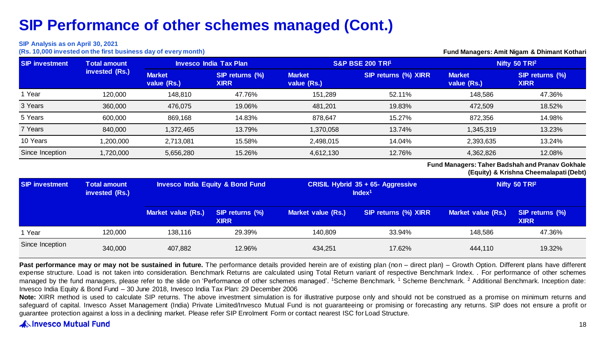#### **SIP Analysis as on April 30, 2021**

**(Rs. 10,000 invested on the first business day of every month) Fund Managers: Amit Nigam & Dhimant Kothari** 

| <b>SIP</b> investment | Total amount<br>invested (Rs.) | <b>Invesco India Tax Plan</b> |                                | <b>S&amp;P BSE 200 TRI1</b>  |                      | Nifty 50 TRI <sup>2</sup>    |                                |
|-----------------------|--------------------------------|-------------------------------|--------------------------------|------------------------------|----------------------|------------------------------|--------------------------------|
|                       |                                | <b>Market</b><br>value (Rs.)  | SIP returns (%)<br><b>XIRR</b> | <b>Market</b><br>value (Rs.) | SIP returns (%) XIRR | <b>Market</b><br>value (Rs.) | SIP returns (%)<br><b>XIRR</b> |
| 1 Year                | 120.000                        | 148.810                       | 47.76%                         | 151.289                      | 52.11%               | 148.586                      | 47.36%                         |
| 3 Years               | 360,000                        | 476,075                       | 19.06%                         | 481,201                      | 19.83%               | 472,509                      | 18.52%                         |
| 5 Years               | 600,000                        | 869,168                       | 14.83%                         | 878.647                      | 15.27%               | 872,356                      | 14.98%                         |
| 7 Years               | 840,000                        | 1,372,465                     | 13.79%                         | 1,370,058                    | 13.74%               | 1,345,319                    | 13.23%                         |
| 10 Years              | 1,200,000                      | 2.713.081                     | 15.58%                         | 2,498,015                    | 14.04%               | 2,393,635                    | 13.24%                         |
| Since Inception       | 1,720,000                      | 5,656,280                     | 15.26%                         | 4,612,130                    | 12.76%               | 4,362,826                    | 12.08%                         |

#### **Fund Managers: Taher Badshah and Pranav Gokhale (Equity) & Krishna Cheemalapati (Debt)**

| <b>SIP investment</b> | Total amount<br>invested (Rs.) | <b>Invesco India Equity &amp; Bond Fund</b> |                                | CRISIL Hybrid 35 + 65- Aggressive<br>Index <sup>1</sup> |                      | Nifty 50 TRI <sup>2</sup> |                                |
|-----------------------|--------------------------------|---------------------------------------------|--------------------------------|---------------------------------------------------------|----------------------|---------------------------|--------------------------------|
|                       |                                | Market value (Rs.)                          | SIP returns (%)<br><b>XIRR</b> | <b>Market value (Rs.)</b>                               | SIP returns (%) XIRR | <b>Market value (Rs.)</b> | SIP returns (%)<br><b>XIRR</b> |
| 1 Year                | 120,000                        | 138.116                                     | 29.39%                         | 140.809                                                 | 33.94%               | 148.586                   | 47.36%                         |
| Since Inception       | 340,000                        | 407,882                                     | 12.96%                         | 434.251                                                 | 17.62%               | 444.110                   | 19.32%                         |

Past performance may or may not be sustained in future. The performance details provided herein are of existing plan (non - direct plan) - Growth Option. Different plans have different expense structure. Load is not taken into consideration. Benchmark Returns are calculated using Total Return variant of respective Benchmark Index. . For performance of other schemes managed by the fund managers, please refer to the slide on 'Performance of other schemes managed'. <sup>1</sup>Scheme Benchmark. <sup>1</sup> Scheme Benchmark. <sup>2</sup> Additional Benchmark. Inception date: Invesco India Equity & Bond Fund – 30 June 2018, Invesco India Tax Plan: 29 December 2006

Note: XIRR method is used to calculate SIP returns. The above investment simulation is for illustrative purpose only and should not be construed as a promise on minimum returns and safeguard of capital. Invesco Asset Management (India) Private Limited/Invesco Mutual Fund is not guaranteeing or promising or forecasting any returns. SIP does not ensure a profit or guarantee protection against a loss in a declining market. Please refer SIP Enrolment Form or contact nearest ISC for Load Structure.

### **ANINVESCO Mutual Fund**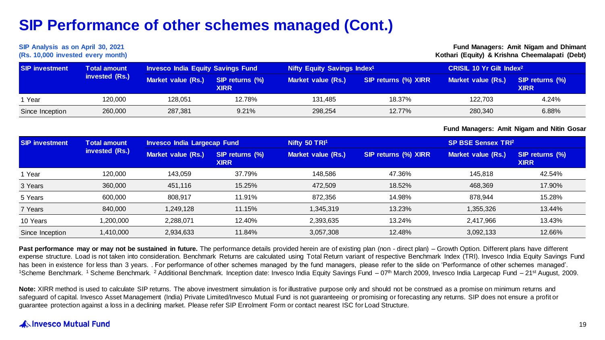#### **SIP Analysis as on April 30, 2021 (Rs. 10,000 invested every month)**

**Fund Managers: Amit Nigam and Dhimant Kothari (Equity) & Krishna Cheemalapati (Debt)**

| <b>SIP investment</b> | <b>Total amount</b><br>invested (Rs.) | <b>Invesco India Equity Savings Fund</b> |                                | Nifty Equity Savings Index <sup>1</sup> |                      | CRISIL 10 Yr Gilt Index <sup>2</sup> |                                |
|-----------------------|---------------------------------------|------------------------------------------|--------------------------------|-----------------------------------------|----------------------|--------------------------------------|--------------------------------|
|                       |                                       | Market value (Rs.)                       | SIP returns (%)<br><b>XIRR</b> | Market value (Rs.)                      | SIP returns (%) XIRR | Market value (Rs.)                   | SIP returns (%)<br><b>XIRR</b> |
| 1 Year                | 120.000                               | 128.051                                  | 12.78%                         | 131.485                                 | 18.37%               | 122.703                              | 4.24%                          |
| Since Inception       | 260,000                               | 287.381                                  | 9.21%                          | 298.254                                 | 12.77%               | 280,340                              | 6.88%                          |

**Fund Managers: Amit Nigam and Nitin Gosar**

| <b>SIP investment</b> | <b>Total amount</b><br>invested (Rs.) | Invesco India Largecap Fund |                                | Nifty 50 TRI <sup>1</sup> |                      | <b>SP BSE Sensex TRI2</b> |                                |
|-----------------------|---------------------------------------|-----------------------------|--------------------------------|---------------------------|----------------------|---------------------------|--------------------------------|
|                       |                                       | <b>Market value (Rs.)</b>   | SIP returns (%)<br><b>XIRR</b> | Market value (Rs.)        | SIP returns (%) XIRR | Market value (Rs.)        | SIP returns (%)<br><b>XIRR</b> |
| 1 Year                | 120.000                               | 143.059                     | 37.79%                         | 148.586                   | 47.36%               | 145.818                   | 42.54%                         |
| 3 Years               | 360,000                               | 451,116                     | 15.25%                         | 472,509                   | 18.52%               | 468.369                   | 17.90%                         |
| 5 Years               | 600.000                               | 808.917                     | 11.91%                         | 872,356                   | 14.98%               | 878.944                   | 15.28%                         |
| 7 Years               | 840.000                               | 1.249.128                   | 11.15%                         | 345,319                   | 13.23%               | 1,355,326                 | 13.44%                         |
| 10 Years              | 1,200,000                             | 2,288,071                   | 12.40%                         | 2,393,635                 | 13.24%               | 2.417.966                 | 13.43%                         |
| Since Inception       | 1,410,000                             | 2,934,633                   | 11.84%                         | 3,057,308                 | 12.48%               | 3,092,133                 | 12.66%                         |

Past performance may or may not be sustained in future. The performance details provided herein are of existing plan (non - direct plan) – Growth Option. Different plans have different expense structure. Load is not taken into consideration. Benchmark Returns are calculated using Total Return variant of respective Benchmark Index (TRI). Invesco India Equity Savings Fund has been in existence for less than 3 years. For performance of other schemes managed by the fund managers, please refer to the slide on 'Performance of other schemes managed'. <sup>1</sup>Scheme Benchmark. <sup>1</sup> Scheme Benchmark. <sup>2</sup> Additional Benchmark. Inception date: Invesco India Equity Savings Fund – 07th March 2009, Invesco India Largecap Fund – 21st August, 2009.

Note: XIRR method is used to calculate SIP returns. The above investment simulation is for illustrative purpose only and should not be construed as a promise on minimum returns and safeguard of capital. Invesco Asset Management (India) Private Limited/Invesco Mutual Fund is not guaranteeing or promising or forecasting any returns. SIP does not ensure a profit or guarantee protection against a loss in a declining market. Please refer SIP Enrolment Form or contact nearest ISC for Load Structure.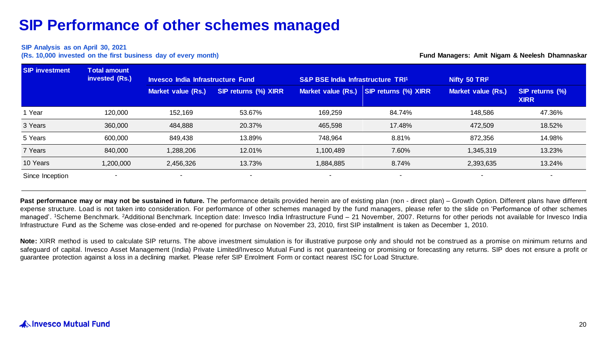#### **SIP Analysis as on April 30, 2021**

**(Rs. 10,000 invested on the first business day of every month)**

**Fund Managers: Amit Nigam & Neelesh Dhamnaskar**

| <b>SIP investment</b> | <b>Total amount</b> |                                          |                          |                                   |                          |                           |                                |  |
|-----------------------|---------------------|------------------------------------------|--------------------------|-----------------------------------|--------------------------|---------------------------|--------------------------------|--|
|                       | invested (Rs.)      | <b>Invesco India Infrastructure Fund</b> |                          | S&P BSE India Infrastructure TRI1 |                          | Nifty 50 TRI <sup>2</sup> |                                |  |
|                       |                     | <b>Market value (Rs.)</b>                | SIP returns (%) XIRR     | Market value (Rs.)                | SIP returns (%) XIRR     | <b>Market value (Rs.)</b> | SIP returns (%)<br><b>XIRR</b> |  |
| 1 Year                | 120,000             | 152,169                                  | 53.67%                   | 169.259                           | 84.74%                   | 148,586                   | 47.36%                         |  |
| 3 Years               | 360,000             | 484,888                                  | 20.37%                   | 465.598                           | 17.48%                   | 472.509                   | 18.52%                         |  |
| 5 Years               | 600,000             | 849,438                                  | 13.89%                   | 748.964                           | 8.81%                    | 872,356                   | 14.98%                         |  |
| 7 Years               | 840,000             | 1,288,206                                | 12.01%                   | 1,100,489                         | 7.60%                    | 1,345,319                 | 13.23%                         |  |
| 10 Years              | 1,200,000           | 2,456,326                                | 13.73%                   | 1,884,885                         | 8.74%                    | 2,393,635                 | 13.24%                         |  |
| Since Inception       |                     | $\overline{\phantom{a}}$                 | $\overline{\phantom{a}}$ | ۰                                 | $\overline{\phantom{a}}$ | $\blacksquare$            |                                |  |

Past performance may or may not be sustained in future. The performance details provided herein are of existing plan (non - direct plan) - Growth Option. Different plans have different expense structure. Load is not taken into consideration. For performance of other schemes managed by the fund managers, please refer to the slide on 'Performance of other schemes managed'. 'Scheme Benchmark. <sup>2</sup>Additional Benchmark. Inception date: Invesco India Infrastructure Fund – 21 November, 2007. Returns for other periods not available for Invesco India Infrastructure Fund as the Scheme was close-ended and re-opened for purchase on November 23, 2010, first SIP installment is taken as December 1, 2010.

Note: XIRR method is used to calculate SIP returns. The above investment simulation is for illustrative purpose only and should not be construed as a promise on minimum returns and safeguard of capital. Invesco Asset Management (India) Private Limited/Invesco Mutual Fund is not guaranteeing or promising or forecasting any returns. SIP does not ensure a profit or guarantee protection against a loss in a declining market. Please refer SIP Enrolment Form or contact nearest ISC for Load Structure.

### A Invesco Mutual Fund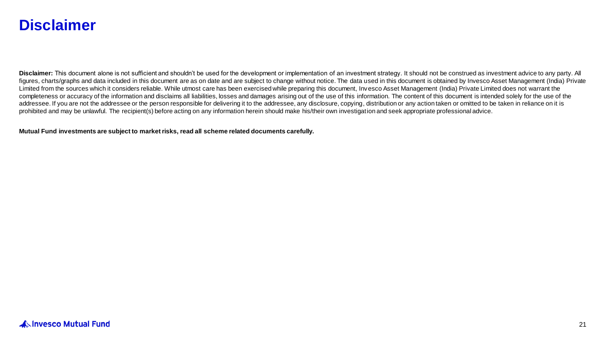### **Disclaimer**

Disclaimer: This document alone is not sufficient and shouldn't be used for the development or implementation of an investment strategy. It should not be construed as investment advice to any party. All figures, charts/graphs and data included in this document are as on date and are subject to change without notice. The data used in this document is obtained by Invesco Asset Management (India) Private Limited from the sources which it considers reliable. While utmost care has been exercised while preparing this document, Invesco Asset Management (India) Private Limited does not warrant the completeness or accuracy of the information and disclaims all liabilities, losses and damages arising out of the use of this information. The content of this document is intended solely for the use of the addressee. If you are not the addressee or the person responsible for delivering it to the addressee, any disclosure, copying, distribution or any action taken or omitted to be taken in reliance on it is prohibited and may be unlawful. The recipient(s) before acting on any information herein should make his/their own investigation and seek appropriate professional advice.

**Mutual Fund investments are subject to market risks, read all scheme related documents carefully.**